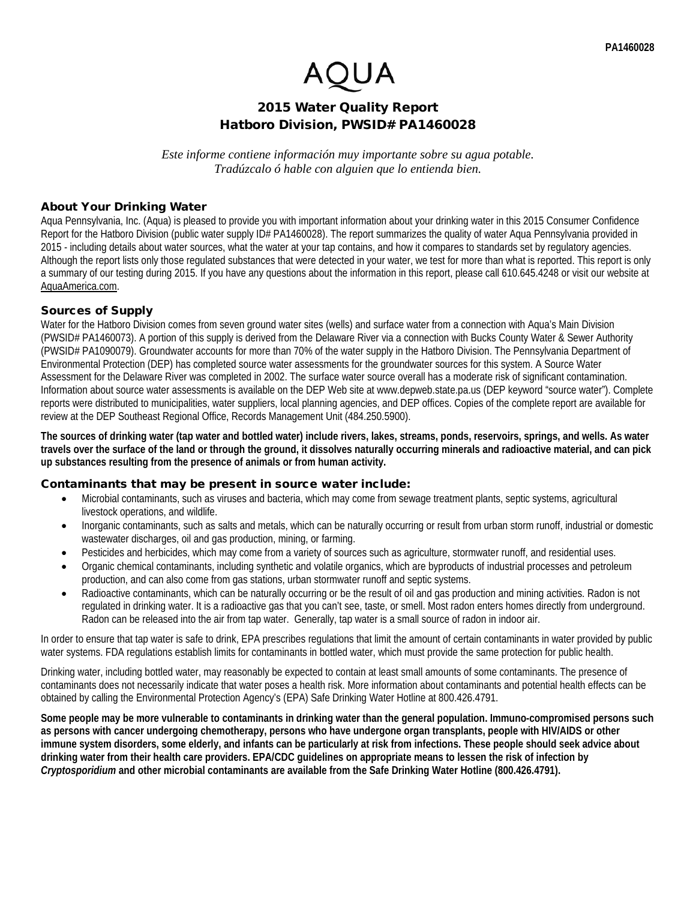# 2015 Water Quality Report Hatboro Division, PWSID# PA1460028

*Este informe contiene información muy importante sobre su agua potable. Tradúzcalo ó hable con alguien que lo entienda bien.*

### About Your Drinking Water

Aqua Pennsylvania, Inc. (Aqua) is pleased to provide you with important information about your drinking water in this 2015 Consumer Confidence Report for the Hatboro Division (public water supply ID# PA1460028). The report summarizes the quality of water Aqua Pennsylvania provided in 2015 - including details about water sources, what the water at your tap contains, and how it compares to standards set by regulatory agencies. Although the report lists only those regulated substances that were detected in your water, we test for more than what is reported. This report is only a summary of our testing during 2015. If you have any questions about the information in this report, please call 610.645.4248 or visit our website at AquaAmerica.com.

## Sources of Supply

Water for the Hatboro Division comes from seven ground water sites (wells) and surface water from a connection with Aqua's Main Division (PWSID# PA1460073). A portion of this supply is derived from the Delaware River via a connection with Bucks County Water & Sewer Authority (PWSID# PA1090079). Groundwater accounts for more than 70% of the water supply in the Hatboro Division. The Pennsylvania Department of Environmental Protection (DEP) has completed source water assessments for the groundwater sources for this system. A Source Water Assessment for the Delaware River was completed in 2002. The surface water source overall has a moderate risk of significant contamination. Information about source water assessments is available on the DEP Web site at www.depweb.state.pa.us (DEP keyword "source water"). Complete reports were distributed to municipalities, water suppliers, local planning agencies, and DEP offices. Copies of the complete report are available for review at the DEP Southeast Regional Office, Records Management Unit (484.250.5900).

**The sources of drinking water (tap water and bottled water) include rivers, lakes, streams, ponds, reservoirs, springs, and wells. As water travels over the surface of the land or through the ground, it dissolves naturally occurring minerals and radioactive material, and can pick up substances resulting from the presence of animals or from human activity.**

#### Contaminants that may be present in source water include:

- Microbial contaminants, such as viruses and bacteria, which may come from sewage treatment plants, septic systems, agricultural livestock operations, and wildlife.
- Inorganic contaminants, such as salts and metals, which can be naturally occurring or result from urban storm runoff, industrial or domestic wastewater discharges, oil and gas production, mining, or farming.
- Pesticides and herbicides, which may come from a variety of sources such as agriculture, stormwater runoff, and residential uses.
- Organic chemical contaminants, including synthetic and volatile organics, which are byproducts of industrial processes and petroleum production, and can also come from gas stations, urban stormwater runoff and septic systems.
- Radioactive contaminants, which can be naturally occurring or be the result of oil and gas production and mining activities. Radon is not regulated in drinking water. It is a radioactive gas that you can't see, taste, or smell. Most radon enters homes directly from underground. Radon can be released into the air from tap water. Generally, tap water is a small source of radon in indoor air.

In order to ensure that tap water is safe to drink, EPA prescribes regulations that limit the amount of certain contaminants in water provided by public water systems. FDA regulations establish limits for contaminants in bottled water, which must provide the same protection for public health.

Drinking water, including bottled water, may reasonably be expected to contain at least small amounts of some contaminants. The presence of contaminants does not necessarily indicate that water poses a health risk. More information about contaminants and potential health effects can be obtained by calling the Environmental Protection Agency's (EPA) Safe Drinking Water Hotline at 800.426.4791.

**Some people may be more vulnerable to contaminants in drinking water than the general population. Immuno-compromised persons such as persons with cancer undergoing chemotherapy, persons who have undergone organ transplants, people with HIV/AIDS or other immune system disorders, some elderly, and infants can be particularly at risk from infections. These people should seek advice about drinking water from their health care providers. EPA/CDC guidelines on appropriate means to lessen the risk of infection by**  *Cryptosporidium* **and other microbial contaminants are available from the Safe Drinking Water Hotline (800.426.4791).**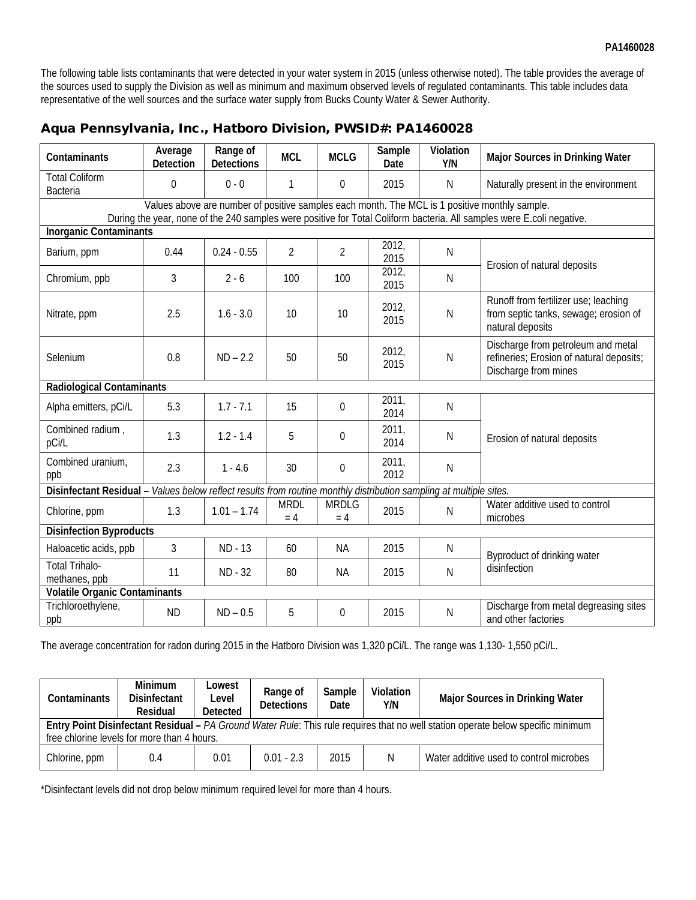The following table lists contaminants that were detected in your water system in 2015 (unless otherwise noted). The table provides the average of the sources used to supply the Division as well as minimum and maximum observed levels of regulated contaminants. This table includes data representative of the well sources and the surface water supply from Bucks County Water & Sewer Authority.

| Contaminants                                                                                                                                                                                                           | Average<br>Detection | Range of<br><b>Detections</b> | <b>MCL</b>           | <b>MCLG</b>           | Sample<br>Date | Violation<br>Y/N | Major Sources in Drinking Water                                                                        |  |
|------------------------------------------------------------------------------------------------------------------------------------------------------------------------------------------------------------------------|----------------------|-------------------------------|----------------------|-----------------------|----------------|------------------|--------------------------------------------------------------------------------------------------------|--|
| <b>Total Coliform</b><br><b>Bacteria</b>                                                                                                                                                                               | $\mathbf 0$          | $0 - 0$                       | $\mathbf{1}$         | $\theta$              | 2015           | $\mathsf{N}$     | Naturally present in the environment                                                                   |  |
| Values above are number of positive samples each month. The MCL is 1 positive monthly sample.<br>During the year, none of the 240 samples were positive for Total Coliform bacteria. All samples were E.coli negative. |                      |                               |                      |                       |                |                  |                                                                                                        |  |
| <b>Inorganic Contaminants</b>                                                                                                                                                                                          |                      |                               |                      |                       |                |                  |                                                                                                        |  |
| Barium, ppm                                                                                                                                                                                                            | 0.44                 | $0.24 - 0.55$                 | $\overline{2}$       | $\overline{2}$        | 2012,<br>2015  | $\mathsf N$      | Erosion of natural deposits                                                                            |  |
| Chromium, ppb                                                                                                                                                                                                          | 3                    | $2 - 6$                       | 100                  | 100                   | 2012,<br>2015  | N                |                                                                                                        |  |
| Nitrate, ppm                                                                                                                                                                                                           | 2.5                  | $1.6 - 3.0$                   | 10                   | 10                    | 2012,<br>2015  | $\mathsf{N}$     | Runoff from fertilizer use; leaching<br>from septic tanks, sewage; erosion of<br>natural deposits      |  |
| Selenium                                                                                                                                                                                                               | 0.8                  | $ND - 2.2$                    | 50                   | 50                    | 2012,<br>2015  | $\mathsf{N}$     | Discharge from petroleum and metal<br>refineries; Erosion of natural deposits;<br>Discharge from mines |  |
| <b>Radiological Contaminants</b>                                                                                                                                                                                       |                      |                               |                      |                       |                |                  |                                                                                                        |  |
| Alpha emitters, pCi/L                                                                                                                                                                                                  | 5.3                  | $1.7 - 7.1$                   | 15                   | $\boldsymbol{0}$      | 2011,<br>2014  | $\mathsf N$      |                                                                                                        |  |
| Combined radium,<br>pCi/L                                                                                                                                                                                              | 1.3                  | $1.2 - 1.4$                   | 5                    | $\mathbf 0$           | 2011,<br>2014  | N                | Erosion of natural deposits                                                                            |  |
| Combined uranium,<br>ppb                                                                                                                                                                                               | 2.3                  | $1 - 4.6$                     | 30                   | $\Omega$              | 2011,<br>2012  | $\mathsf{N}$     |                                                                                                        |  |
| Values below reflect results from routine monthly distribution sampling at multiple sites.<br>Disinfectant Residual-                                                                                                   |                      |                               |                      |                       |                |                  |                                                                                                        |  |
| Chlorine, ppm                                                                                                                                                                                                          | 1.3                  | $1.01 - 1.74$                 | <b>MRDL</b><br>$= 4$ | <b>MRDLG</b><br>$= 4$ | 2015           | N                | Water additive used to control<br>microbes                                                             |  |
| <b>Disinfection Byproducts</b>                                                                                                                                                                                         |                      |                               |                      |                       |                |                  |                                                                                                        |  |
| Haloacetic acids, ppb                                                                                                                                                                                                  | 3                    | ND - 13                       | 60                   | <b>NA</b>             | 2015           | $\mathsf{N}$     | Byproduct of drinking water<br>disinfection                                                            |  |
| <b>Total Trihalo-</b><br>methanes, ppb                                                                                                                                                                                 | 11                   | ND - 32                       | 80                   | NA.                   | 2015           | $\mathsf{N}$     |                                                                                                        |  |
| <b>Volatile Organic Contaminants</b>                                                                                                                                                                                   |                      |                               |                      |                       |                |                  |                                                                                                        |  |
| Trichloroethylene,<br>ppb                                                                                                                                                                                              | <b>ND</b>            | $ND - 0.5$                    | 5                    | $\Omega$              | 2015           | N                | Discharge from metal degreasing sites<br>and other factories                                           |  |

# Aqua Pennsylvania, Inc., Hatboro Division, PWSID#: PA1460028

The average concentration for radon during 2015 in the Hatboro Division was 1,320 pCi/L. The range was 1,130- 1,550 pCi/L.

| Contaminants                                                                                                                                                                    | <b>Minimum</b><br>_owest<br>Disinfectant<br>Level<br>Residual<br><b>Detected</b> |      | Range of<br><b>Detections</b> | Sample<br>Date | Violation<br>Y/N | <b>Major Sources in Drinking Water</b>  |  |  |
|---------------------------------------------------------------------------------------------------------------------------------------------------------------------------------|----------------------------------------------------------------------------------|------|-------------------------------|----------------|------------------|-----------------------------------------|--|--|
| Entry Point Disinfectant Residual – PA Ground Water Rule: This rule requires that no well station operate below specific minimum<br>free chlorine levels for more than 4 hours. |                                                                                  |      |                               |                |                  |                                         |  |  |
| Chlorine, ppm                                                                                                                                                                   | 0.4                                                                              | 0.01 | $0.01 - 2.3$                  | 2015           | N                | Water additive used to control microbes |  |  |

\*Disinfectant levels did not drop below minimum required level for more than 4 hours.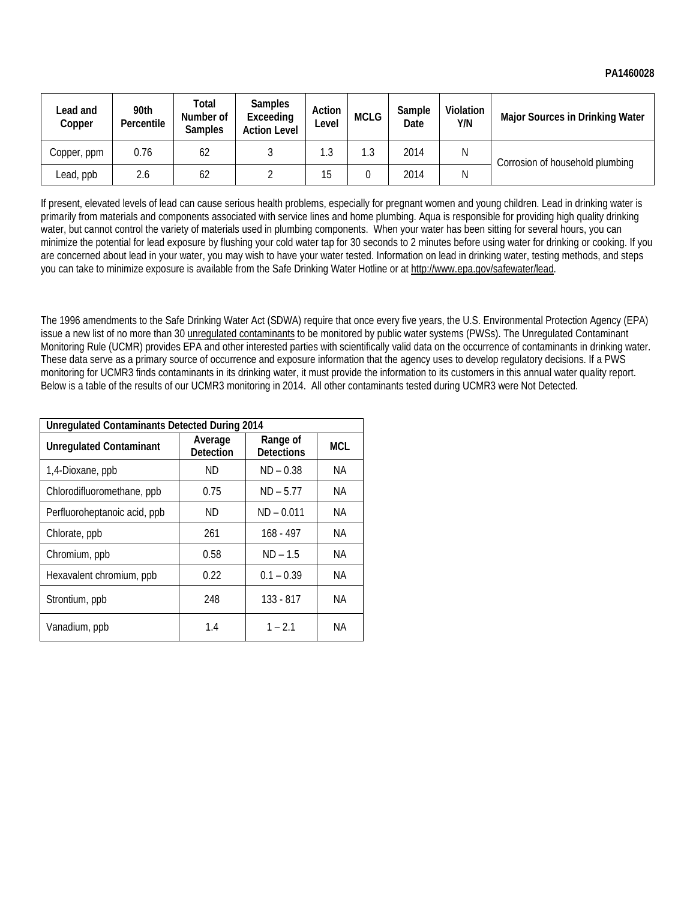| Lead and<br>Copper | 90th<br>Percentile | Total<br>Number of<br><b>Samples</b> | <b>Samples</b><br>Exceeding<br><b>Action Level</b> | Action<br>Level | <b>MCLG</b> | Sample<br>Date | Violation<br>Y/N | <b>Major Sources in Drinking Water</b> |  |
|--------------------|--------------------|--------------------------------------|----------------------------------------------------|-----------------|-------------|----------------|------------------|----------------------------------------|--|
| Copper, ppm        | 0.76               | 62                                   |                                                    | 1.3             | 1.3         | 2014           | Ν                | Corrosion of household plumbing        |  |
| Lead, ppb          | 2.6                | 62                                   |                                                    | 15              |             | 2014           | Ν                |                                        |  |

If present, elevated levels of lead can cause serious health problems, especially for pregnant women and young children. Lead in drinking water is primarily from materials and components associated with service lines and home plumbing. Aqua is responsible for providing high quality drinking water, but cannot control the variety of materials used in plumbing components. When your water has been sitting for several hours, you can minimize the potential for lead exposure by flushing your cold water tap for 30 seconds to 2 minutes before using water for drinking or cooking. If you are concerned about lead in your water, you may wish to have your water tested. Information on lead in drinking water, testing methods, and steps you can take to minimize exposure is available from the Safe Drinking Water Hotline or at http://www.epa.gov/safewater/lead.

The 1996 amendments to the Safe Drinking Water Act (SDWA) require that once every five years, the U.S. Environmental Protection Agency (EPA) issue a new list of no more than 30 unregulated contaminants to be monitored by public water systems (PWSs). The Unregulated Contaminant Monitoring Rule (UCMR) provides EPA and other interested parties with scientifically valid data on the occurrence of contaminants in drinking water. These data serve as a primary source of occurrence and exposure information that the agency uses to develop regulatory decisions. If a PWS monitoring for UCMR3 finds contaminants in its drinking water, it must provide the information to its customers in this annual water quality report. Below is a table of the results of our UCMR3 monitoring in 2014. All other contaminants tested during UCMR3 were Not Detected.

| <b>Unregulated Contaminants Detected During 2014</b> |                      |                               |            |  |  |  |
|------------------------------------------------------|----------------------|-------------------------------|------------|--|--|--|
| <b>Unregulated Contaminant</b>                       | Average<br>Detection | Range of<br><b>Detections</b> | <b>MCL</b> |  |  |  |
| 1,4-Dioxane, ppb                                     | ND.                  | $ND - 0.38$                   | NA.        |  |  |  |
| Chlorodifluoromethane, ppb                           | 0.75                 | $ND - 5.77$                   | NA.        |  |  |  |
| Perfluoroheptanoic acid, ppb                         | ND.                  | $ND - 0.011$                  | NA.        |  |  |  |
| Chlorate, ppb                                        | 261                  | $168 - 497$                   | NA.        |  |  |  |
| Chromium, ppb                                        | 0.58                 | $ND - 1.5$                    | NA.        |  |  |  |
| Hexavalent chromium, ppb                             | 0.22                 | $0.1 - 0.39$                  | <b>NA</b>  |  |  |  |
| Strontium, ppb                                       | 248                  | $133 - 817$                   | NA.        |  |  |  |
| Vanadium, ppb                                        | 1.4                  | $1 - 2.1$                     | NA.        |  |  |  |